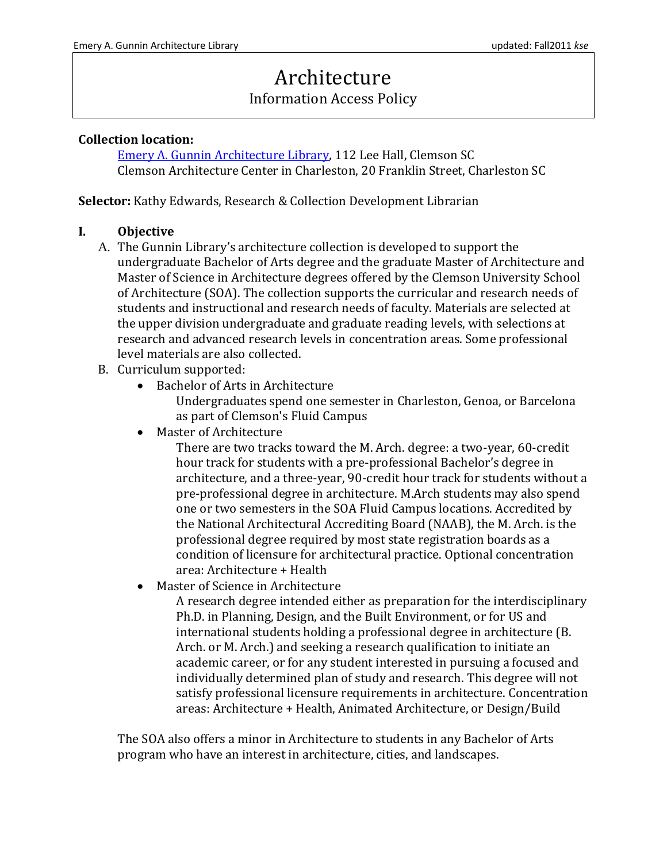# Architecture

## Information Access Policy

#### **Collection location:**

[Emery A. Gunnin Architecture Library,](http://libguides.clemson.edu/gunnin) 112 Lee Hall, Clemson SC Clemson Architecture Center in Charleston, 20 Franklin Street, Charleston SC

**Selector:** Kathy Edwards, Research & Collection Development Librarian

### **I. Objective**

- A. The Gunnin Library's architecture collection is developed to support the undergraduate Bachelor of Arts degree and the graduate Master of Architecture and Master of Science in Architecture degrees offered by the Clemson University School of Architecture (SOA). The collection supports the curricular and research needs of students and instructional and research needs of faculty. Materials are selected at the upper division undergraduate and graduate reading levels, with selections at research and advanced research levels in concentration areas. Some professional level materials are also collected.
- B. Curriculum supported:
	- Bachelor of Arts in Architecture

Undergraduates spend one semester in Charleston, Genoa, or Barcelona as part of Clemson's Fluid Campus

• Master of Architecture

There are two tracks toward the M. Arch. degree: a two-year, 60-credit hour track for students with a pre-professional Bachelor's degree in architecture, and a three-year, 90-credit hour track for students without a pre-professional degree in architecture. M.Arch students may also spend one or two semesters in the SOA Fluid Campus locations. Accredited by the National Architectural Accrediting Board (NAAB), the M. Arch. is the professional degree required by most state registration boards as a condition of licensure for architectural practice. Optional concentration area: Architecture + Health

Master of Science in Architecture

A research degree intended either as preparation for the interdisciplinary Ph.D. in Planning, Design, and the Built Environment, or for US and international students holding a professional degree in architecture (B. Arch. or M. Arch.) and seeking a research qualification to initiate an academic career, or for any student interested in pursuing a focused and individually determined plan of study and research. This degree will not satisfy professional licensure requirements in architecture. Concentration areas: Architecture + Health, Animated Architecture, or Design/Build

The SOA also offers a minor in Architecture to students in any Bachelor of Arts program who have an interest in architecture, cities, and landscapes.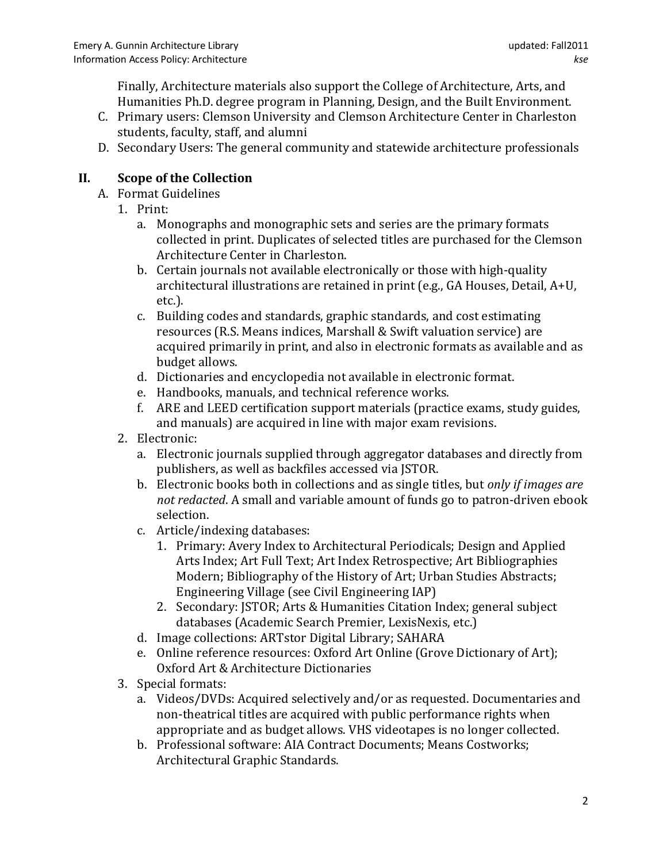Finally, Architecture materials also support the College of Architecture, Arts, and Humanities Ph.D. degree program in Planning, Design, and the Built Environment.

- C. Primary users: Clemson University and Clemson Architecture Center in Charleston students, faculty, staff, and alumni
- D. Secondary Users: The general community and statewide architecture professionals

## **II. Scope of the Collection**

- A. Format Guidelines
	- 1. Print:
		- a. Monographs and monographic sets and series are the primary formats collected in print. Duplicates of selected titles are purchased for the Clemson Architecture Center in Charleston.
		- b. Certain journals not available electronically or those with high-quality architectural illustrations are retained in print (e.g., GA Houses, Detail, A+U, etc.).
		- c. Building codes and standards, graphic standards, and cost estimating resources (R.S. Means indices, Marshall & Swift valuation service) are acquired primarily in print, and also in electronic formats as available and as budget allows.
		- d. Dictionaries and encyclopedia not available in electronic format.
		- e. Handbooks, manuals, and technical reference works.
		- f. ARE and LEED certification support materials (practice exams, study guides, and manuals) are acquired in line with major exam revisions.
	- 2. Electronic:
		- a. Electronic journals supplied through aggregator databases and directly from publishers, as well as backfiles accessed via JSTOR.
		- b. Electronic books both in collections and as single titles, but *only if images are not redacted*. A small and variable amount of funds go to patron-driven ebook selection.
		- c. Article/indexing databases:
			- 1. Primary: Avery Index to Architectural Periodicals; Design and Applied Arts Index; Art Full Text; Art Index Retrospective; Art Bibliographies Modern; Bibliography of the History of Art; Urban Studies Abstracts; Engineering Village (see Civil Engineering IAP)
			- 2. Secondary: JSTOR; Arts & Humanities Citation Index; general subject databases (Academic Search Premier, LexisNexis, etc.)
		- d. Image collections: ARTstor Digital Library; SAHARA
		- e. Online reference resources: Oxford Art Online (Grove Dictionary of Art); Oxford Art & Architecture Dictionaries
	- 3. Special formats:
		- a. Videos/DVDs: Acquired selectively and/or as requested. Documentaries and non-theatrical titles are acquired with public performance rights when appropriate and as budget allows. VHS videotapes is no longer collected.
		- b. Professional software: AIA Contract Documents; Means Costworks; Architectural Graphic Standards.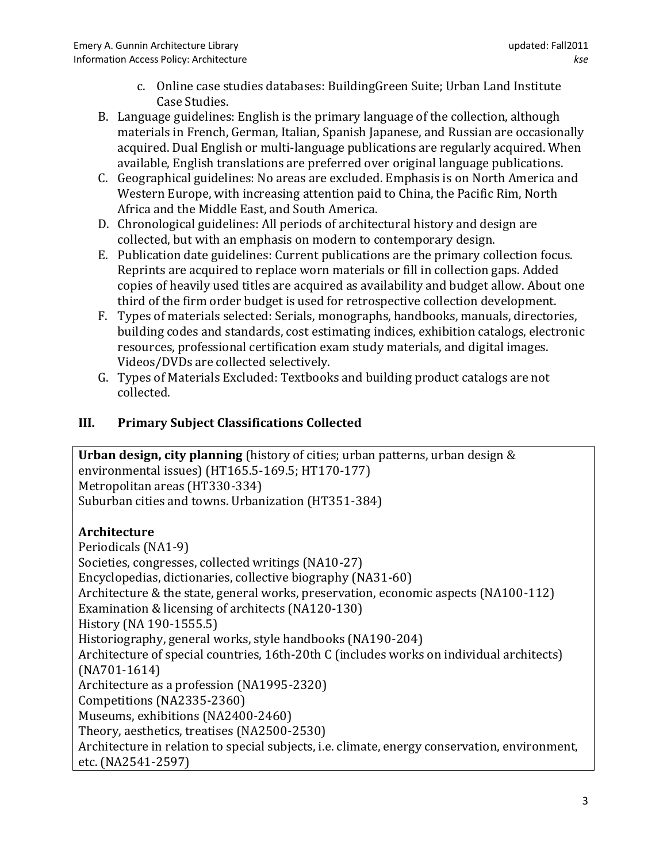- c. Online case studies databases: BuildingGreen Suite; Urban Land Institute Case Studies.
- B. Language guidelines: English is the primary language of the collection, although materials in French, German, Italian, Spanish Japanese, and Russian are occasionally acquired. Dual English or multi-language publications are regularly acquired. When available, English translations are preferred over original language publications.
- C. Geographical guidelines: No areas are excluded. Emphasis is on North America and Western Europe, with increasing attention paid to China, the Pacific Rim, North Africa and the Middle East, and South America.
- D. Chronological guidelines: All periods of architectural history and design are collected, but with an emphasis on modern to contemporary design.
- E. Publication date guidelines: Current publications are the primary collection focus. Reprints are acquired to replace worn materials or fill in collection gaps. Added copies of heavily used titles are acquired as availability and budget allow. About one third of the firm order budget is used for retrospective collection development.
- F. Types of materials selected: Serials, monographs, handbooks, manuals, directories, building codes and standards, cost estimating indices, exhibition catalogs, electronic resources, professional certification exam study materials, and digital images. Videos/DVDs are collected selectively.
- G. Types of Materials Excluded: Textbooks and building product catalogs are not collected.

## **III. Primary Subject Classifications Collected**

**Urban design, city planning** (history of cities; urban patterns, urban design & environmental issues) (HT165.5-169.5; HT170-177) Metropolitan areas (HT330-334) Suburban cities and towns. Urbanization (HT351-384)

## **Architecture**

Periodicals (NA1-9) Societies, congresses, collected writings (NA10-27) Encyclopedias, dictionaries, collective biography (NA31-60) Architecture & the state, general works, preservation, economic aspects (NA100-112) Examination & licensing of architects (NA120-130) History (NA 190-1555.5) Historiography, general works, style handbooks (NA190-204) Architecture of special countries, 16th-20th C (includes works on individual architects) (NA701-1614) Architecture as a profession (NA1995-2320) Competitions (NA2335-2360) Museums, exhibitions (NA2400-2460) Theory, aesthetics, treatises (NA2500-2530) Architecture in relation to special subjects, i.e. climate, energy conservation, environment, etc. (NA2541-2597)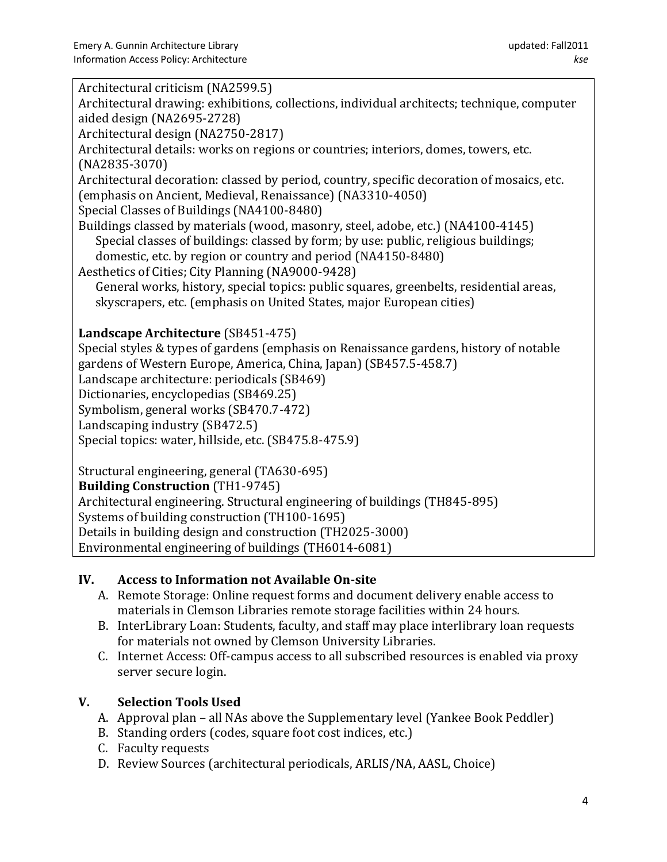| Architectural criticism (NA2599.5)                                                          |
|---------------------------------------------------------------------------------------------|
|                                                                                             |
| Architectural drawing: exhibitions, collections, individual architects; technique, computer |
| aided design (NA2695-2728)                                                                  |
| Architectural design (NA2750-2817)                                                          |
| Architectural details: works on regions or countries; interiors, domes, towers, etc.        |
| $(NA2835-3070)$                                                                             |
| Architectural decoration: classed by period, country, specific decoration of mosaics, etc.  |
| (emphasis on Ancient, Medieval, Renaissance) (NA3310-4050)                                  |
| Special Classes of Buildings (NA4100-8480)                                                  |
| Buildings classed by materials (wood, masonry, steel, adobe, etc.) (NA4100-4145)            |
| Special classes of buildings: classed by form; by use: public, religious buildings;         |
| domestic, etc. by region or country and period (NA4150-8480)                                |
| Aesthetics of Cities; City Planning (NA9000-9428)                                           |
| General works, history, special topics: public squares, greenbelts, residential areas,      |
| skyscrapers, etc. (emphasis on United States, major European cities)                        |
|                                                                                             |
| Landscape Architecture (SB451-475)                                                          |
|                                                                                             |
| Special styles & types of gardens (emphasis on Renaissance gardens, history of notable      |
| gardens of Western Europe, America, China, Japan) (SB457.5-458.7)                           |
| Landscape architecture: periodicals (SB469)                                                 |
| Dictionaries, encyclopedias (SB469.25)                                                      |
| Symbolism, general works (SB470.7-472)                                                      |
| Landscaping industry (SB472.5)                                                              |
| Special topics: water, hillside, etc. (SB475.8-475.9)                                       |
|                                                                                             |
| Structural engineering, general (TA630-695)                                                 |
| <b>Building Construction (TH1-9745)</b>                                                     |
| Architectural engineering. Structural engineering of buildings (TH845-895)                  |
| Systems of building construction (TH100-1695)                                               |
| Details in building design and construction (TH2025-3000)                                   |
| Environmental engineering of buildings (TH6014-6081)                                        |

## **IV. Access to Information not Available On-site**

- A. Remote Storage: Online request forms and document delivery enable access to materials in Clemson Libraries remote storage facilities within 24 hours.
- B. InterLibrary Loan: Students, faculty, and staff may place interlibrary loan requests for materials not owned by Clemson University Libraries.
- C. Internet Access: Off-campus access to all subscribed resources is enabled via proxy server secure login.

## **V. Selection Tools Used**

- A. Approval plan all NAs above the Supplementary level (Yankee Book Peddler)
- B. Standing orders (codes, square foot cost indices, etc.)
- C. Faculty requests
- D. Review Sources (architectural periodicals, ARLIS/NA, AASL, Choice)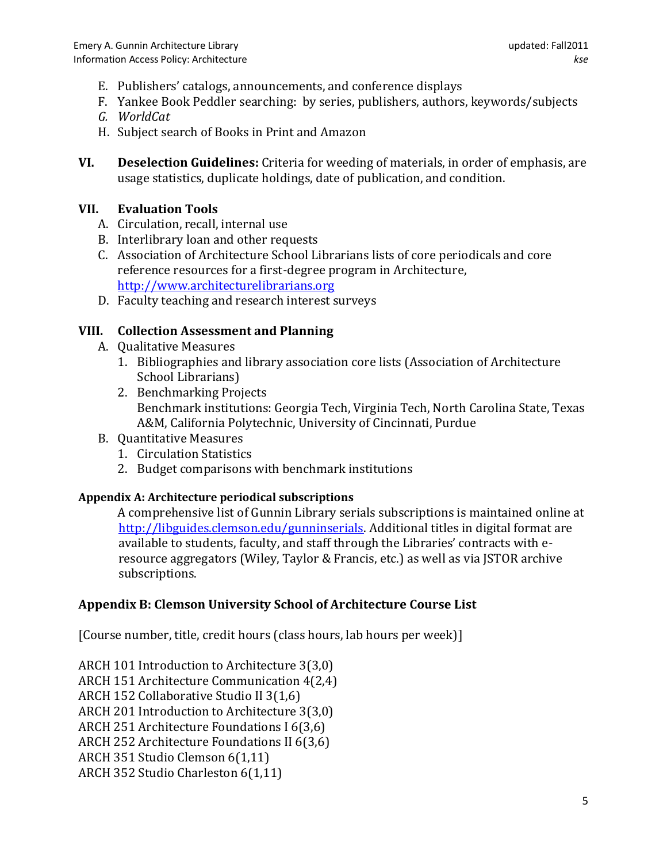- E. Publishers' catalogs, announcements, and conference displays
- F. Yankee Book Peddler searching: by series, publishers, authors, keywords/subjects
- *G. WorldCat*
- H. Subject search of Books in Print and Amazon
- **VI. Deselection Guidelines:** Criteria for weeding of materials, in order of emphasis, are usage statistics, duplicate holdings, date of publication, and condition.

### **VII. Evaluation Tools**

- A. Circulation, recall, internal use
- B. Interlibrary loan and other requests
- C. Association of Architecture School Librarians lists of core periodicals and core reference resources for a first-degree program in Architecture, [http://www.architecturelibrarians.org](http://www.architecturelibrarians.org/)
- D. Faculty teaching and research interest surveys

### **VIII. Collection Assessment and Planning**

- A. Qualitative Measures
	- 1. Bibliographies and library association core lists (Association of Architecture School Librarians)
	- 2. Benchmarking Projects Benchmark institutions: Georgia Tech, Virginia Tech, North Carolina State, Texas A&M, California Polytechnic, University of Cincinnati, Purdue
- B. Quantitative Measures
	- 1. Circulation Statistics
	- 2. Budget comparisons with benchmark institutions

#### **Appendix A: Architecture periodical subscriptions**

A comprehensive list of Gunnin Library serials subscriptions is maintained online at [http://libguides.clemson.edu/gunninserials.](http://libguides.clemson.edu/gunninserials) Additional titles in digital format are available to students, faculty, and staff through the Libraries' contracts with e resource aggregators (Wiley, Taylor & Francis, etc.) as well as via JSTOR archive subscriptions.

## **Appendix B: Clemson University School of Architecture Course List**

[Course number, title, credit hours (class hours, lab hours per week)]

ARCH 101 Introduction to Architecture 3(3,0) ARCH 151 Architecture Communication 4(2,4) ARCH 152 Collaborative Studio II 3(1,6) ARCH 201 Introduction to Architecture 3(3,0) ARCH 251 Architecture Foundations I 6(3,6) ARCH 252 Architecture Foundations II 6(3,6) ARCH 351 Studio Clemson 6(1,11) ARCH 352 Studio Charleston 6(1,11)